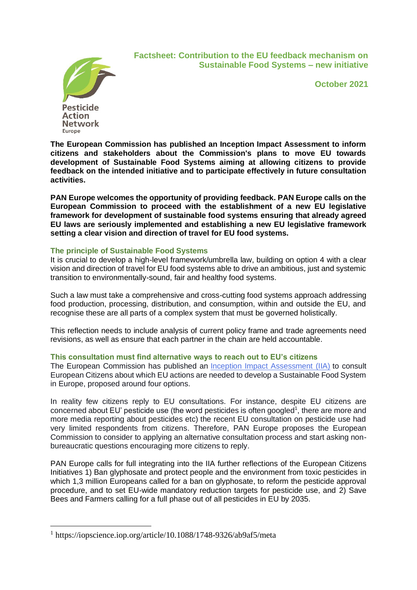**Pesticide Action Network** 

Europe

**Factsheet: Contribution to the EU feedback mechanism on Sustainable Food Systems – new initiative**

**October 2021**

**The European Commission has published an Inception Impact Assessment to inform citizens and stakeholders about the Commission's plans to move EU towards development of Sustainable Food Systems aiming at allowing citizens to provide feedback on the intended initiative and to participate effectively in future consultation activities.** 

**PAN Europe welcomes the opportunity of providing feedback. PAN Europe calls on the European Commission to proceed with the establishment of a new EU legislative framework for development of sustainable food systems ensuring that already agreed EU laws are seriously implemented and establishing a new EU legislative framework setting a clear vision and direction of travel for EU food systems.**

# **The principle of Sustainable Food Systems**

It is crucial to develop a high-level framework/umbrella law, building on option 4 with a clear vision and direction of travel for EU food systems able to drive an ambitious, just and systemic transition to environmentally-sound, fair and healthy food systems.

Such a law must take a comprehensive and cross-cutting food systems approach addressing food production, processing, distribution, and consumption, within and outside the EU, and recognise these are all parts of a complex system that must be governed holistically.

This reflection needs to include analysis of current policy frame and trade agreements need revisions, as well as ensure that each partner in the chain are held accountable.

### **This consultation must find alternative ways to reach out to EU's citizens**

The European Commission has published an [Inception Impact Assessment \(IIA\)](https://ec.europa.eu/info/law/better-regulation/have-your-say/initiatives/13174-Sustainable-EU-food-system-new-initiative_en) to consult European Citizens about which EU actions are needed to develop a Sustainable Food System in Europe, proposed around four options.

In reality few citizens reply to EU consultations. For instance, despite EU citizens are concerned about EU' pesticide use (the word pesticides is often googled<sup>1</sup>, there are more and more media reporting about pesticides etc) the recent EU consultation on pesticide use had very limited respondents from citizens. Therefore, PAN Europe proposes the European Commission to consider to applying an alternative consultation process and start asking nonbureaucratic questions encouraging more citizens to reply.

PAN Europe calls for full integrating into the IIA further reflections of the European Citizens Initiatives 1) Ban glyphosate and protect people and the environment from toxic pesticides in which 1,3 million Europeans called for a ban on glyphosate, to reform the pesticide approval procedure, and to set EU-wide mandatory reduction targets for pesticide use, and 2) Save Bees and Farmers calling for a full phase out of all pesticides in EU by 2035.

<sup>1</sup> https://iopscience.iop.org/article/10.1088/1748-9326/ab9af5/meta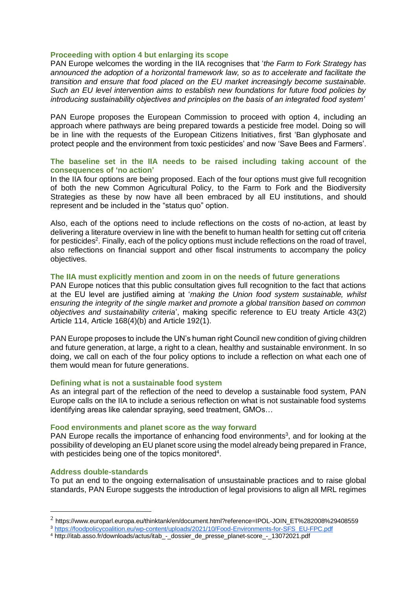### **Proceeding with option 4 but enlarging its scope**

PAN Europe welcomes the wording in the IIA recognises that '*the Farm to Fork Strategy has announced the adoption of a horizontal framework law, so as to accelerate and facilitate the transition and ensure that food placed on the EU market increasingly become sustainable. Such an EU level intervention aims to establish new foundations for future food policies by introducing sustainability objectives and principles on the basis of an integrated food system'* 

PAN Europe proposes the European Commission to proceed with option 4, including an approach where pathways are being prepared towards a pesticide free model. Doing so will be in line with the requests of the European Citizens Initiatives, first 'Ban glyphosate and protect people and the environment from toxic pesticides' and now 'Save Bees and Farmers'.

# **The baseline set in the IIA needs to be raised including taking account of the consequences of 'no action'**

In the IIA four options are being proposed. Each of the four options must give full recognition of both the new Common Agricultural Policy, to the Farm to Fork and the Biodiversity Strategies as these by now have all been embraced by all EU institutions, and should represent and be included in the "status quo" option.

Also, each of the options need to include reflections on the costs of no-action, at least by delivering a literature overview in line with the benefit to human health for setting cut off criteria for pesticides<sup>2</sup>. Finally, each of the policy options must include reflections on the road of travel, also reflections on financial support and other fiscal instruments to accompany the policy objectives.

#### **The IIA must explicitly mention and zoom in on the needs of future generations**

PAN Europe notices that this public consultation gives full recognition to the fact that actions at the EU level are justified aiming at '*making the Union food system sustainable, whilst ensuring the integrity of the single market and promote a global transition based on common objectives and sustainability criteria*', making specific reference to EU treaty Article 43(2) Article 114, Article 168(4)(b) and Article 192(1).

PAN Europe proposes to include the UN's human right Council new condition of giving children and future generation, at large, a right to a clean, healthy and sustainable environment. In so doing, we call on each of the four policy options to include a reflection on what each one of them would mean for future generations.

### **Defining what is not a sustainable food system**

As an integral part of the reflection of the need to develop a sustainable food system, PAN Europe calls on the IIA to include a serious reflection on what is not sustainable food systems identifying areas like calendar spraying, seed treatment, GMOs…

### **Food environments and planet score as the way forward**

PAN Europe recalls the importance of enhancing food environments<sup>3</sup>, and for looking at the possibility of developing an EU planet score using the model already being prepared in France, with pesticides being one of the topics monitored<sup>4</sup>.

#### **Address double-standards**

To put an end to the ongoing externalisation of unsustainable practices and to raise global standards, PAN Europe suggests the introduction of legal provisions to align all MRL regimes

 $^2$  https://www.europarl.europa.eu/thinktank/en/document.html?reference=IPOL-JOIN\_ET%282008%29408559

<sup>3</sup> [https://foodpolicycoalition.eu/wp-content/uploads/2021/10/Food-Environments-for-SFS\\_EU-FPC.pdf](https://foodpolicycoalition.eu/wp-content/uploads/2021/10/Food-Environments-for-SFS_EU-FPC.pdf)

<sup>4</sup> http://itab.asso.fr/downloads/actus/itab\_-\_dossier\_de\_presse\_planet-score\_-\_13072021.pdf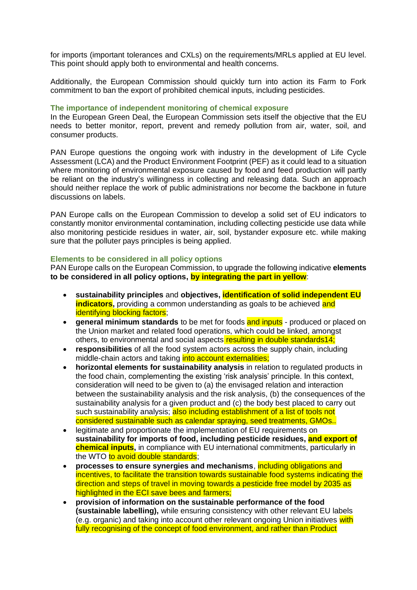for imports (important tolerances and CXLs) on the requirements/MRLs applied at EU level. This point should apply both to environmental and health concerns.

Additionally, the European Commission should quickly turn into action its Farm to Fork commitment to ban the export of prohibited chemical inputs, including pesticides.

# **The importance of independent monitoring of chemical exposure**

In the European Green Deal, the European Commission sets itself the objective that the EU needs to better monitor, report, prevent and remedy pollution from air, water, soil, and consumer products.

PAN Europe questions the ongoing work with industry in the development of Life Cycle Assessment (LCA) and the Product Environment Footprint (PEF) as it could lead to a situation where monitoring of environmental exposure caused by food and feed production will partly be reliant on the industry's willingness in collecting and releasing data. Such an approach should neither replace the work of public administrations nor become the backbone in future discussions on labels.

PAN Europe calls on the European Commission to develop a solid set of EU indicators to constantly monitor environmental contamination, including collecting pesticide use data while also monitoring pesticide residues in water, air, soil, bystander exposure etc. while making sure that the polluter pays principles is being applied.

### **Elements to be considered in all policy options**

PAN Europe calls on the European Commission, to upgrade the following indicative **elements to be considered in all policy options, by integrating the part in yellow**:

- **sustainability principles** and **objectives, identification of solid independent EU indicators,** providing a common understanding as goals to be achieved and identifying blocking factors;
- **general minimum standards** to be met for foods and inputs produced or placed on the Union market and related food operations, which could be linked, amongst others, to environmental and social aspects resulting in double standards14;
- **responsibilities** of all the food system actors across the supply chain, including middle-chain actors and taking into account externalities:
- **horizontal elements for sustainability analysis** in relation to regulated products in the food chain, complementing the existing 'risk analysis' principle. In this context, consideration will need to be given to (a) the envisaged relation and interaction between the sustainability analysis and the risk analysis, (b) the consequences of the sustainability analysis for a given product and (c) the body best placed to carry out such sustainability analysis; also including establishment of a list of tools not considered sustainable such as calendar spraying, seed treatments, GMOs..
- legitimate and proportionate the implementation of EU requirements on **sustainability for imports of food, including pesticide residues, and export of chemical inputs,** in compliance with EU international commitments, particularly in the WTO to avoid double standards;
- **processes to ensure synergies and mechanisms**, including obligations and incentives, to facilitate the transition towards sustainable food systems indicating the direction and steps of travel in moving towards a pesticide free model by 2035 as highlighted in the ECI save bees and farmers;
- **provision of information on the sustainable performance of the food (sustainable labelling),** while ensuring consistency with other relevant EU labels (e.g. organic) and taking into account other relevant ongoing Union initiatives with fully recognising of the concept of food environment, and rather than Product